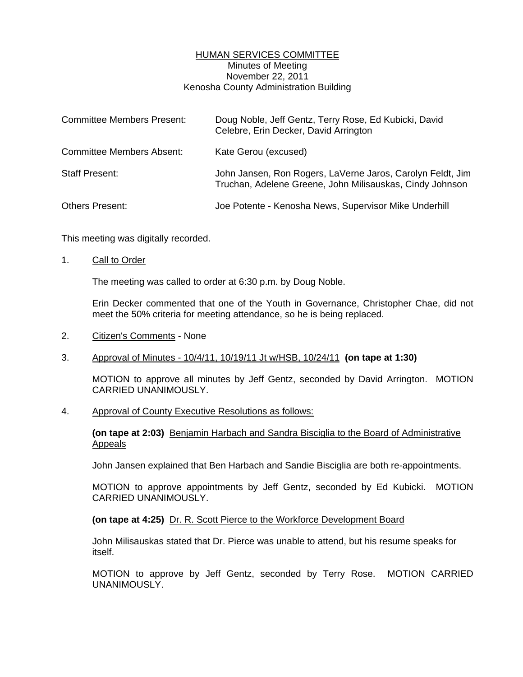# HUMAN SERVICES COMMITTEE Minutes of Meeting November 22, 2011 Kenosha County Administration Building

| <b>Committee Members Present:</b> | Doug Noble, Jeff Gentz, Terry Rose, Ed Kubicki, David<br>Celebre, Erin Decker, David Arrington                         |
|-----------------------------------|------------------------------------------------------------------------------------------------------------------------|
| <b>Committee Members Absent:</b>  | Kate Gerou (excused)                                                                                                   |
| <b>Staff Present:</b>             | John Jansen, Ron Rogers, LaVerne Jaros, Carolyn Feldt, Jim<br>Truchan, Adelene Greene, John Milisauskas, Cindy Johnson |
| <b>Others Present:</b>            | Joe Potente - Kenosha News, Supervisor Mike Underhill                                                                  |

This meeting was digitally recorded.

#### 1. Call to Order

The meeting was called to order at 6:30 p.m. by Doug Noble.

 Erin Decker commented that one of the Youth in Governance, Christopher Chae, did not meet the 50% criteria for meeting attendance, so he is being replaced.

2. Citizen's Comments - None

# 3. Approval of Minutes - 10/4/11, 10/19/11 Jt w/HSB, 10/24/11 **(on tape at 1:30)**

 MOTION to approve all minutes by Jeff Gentz, seconded by David Arrington. MOTION CARRIED UNANIMOUSLY.

4. Approval of County Executive Resolutions as follows:

#### **(on tape at 2:03)** Benjamin Harbach and Sandra Bisciglia to the Board of Administrative Appeals

John Jansen explained that Ben Harbach and Sandie Bisciglia are both re-appointments.

 MOTION to approve appointments by Jeff Gentz, seconded by Ed Kubicki. MOTION CARRIED UNANIMOUSLY.

#### **(on tape at 4:25)** Dr. R. Scott Pierce to the Workforce Development Board

 John Milisauskas stated that Dr. Pierce was unable to attend, but his resume speaks for itself.

 MOTION to approve by Jeff Gentz, seconded by Terry Rose. MOTION CARRIED UNANIMOUSLY.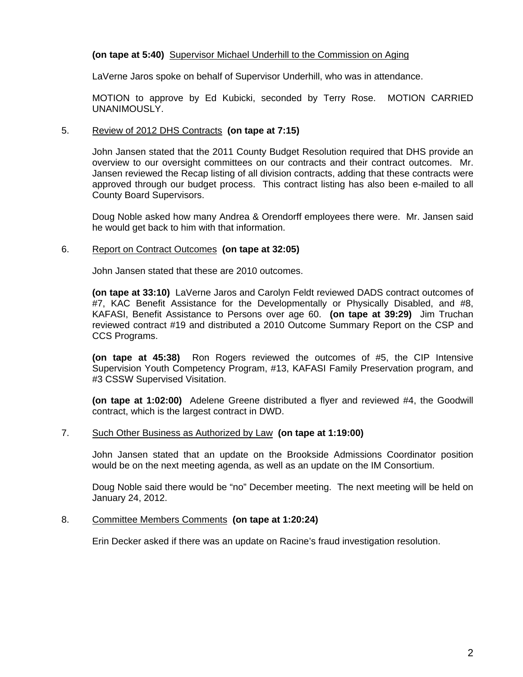# **(on tape at 5:40)** Supervisor Michael Underhill to the Commission on Aging

LaVerne Jaros spoke on behalf of Supervisor Underhill, who was in attendance.

 MOTION to approve by Ed Kubicki, seconded by Terry Rose. MOTION CARRIED UNANIMOUSLY.

# 5. Review of 2012 DHS Contracts **(on tape at 7:15)**

 John Jansen stated that the 2011 County Budget Resolution required that DHS provide an overview to our oversight committees on our contracts and their contract outcomes. Mr. Jansen reviewed the Recap listing of all division contracts, adding that these contracts were approved through our budget process. This contract listing has also been e-mailed to all County Board Supervisors.

 Doug Noble asked how many Andrea & Orendorff employees there were. Mr. Jansen said he would get back to him with that information.

# 6. Report on Contract Outcomes **(on tape at 32:05)**

John Jansen stated that these are 2010 outcomes.

**(on tape at 33:10)** LaVerne Jaros and Carolyn Feldt reviewed DADS contract outcomes of #7, KAC Benefit Assistance for the Developmentally or Physically Disabled, and #8, KAFASI, Benefit Assistance to Persons over age 60. **(on tape at 39:29)** Jim Truchan reviewed contract #19 and distributed a 2010 Outcome Summary Report on the CSP and CCS Programs.

**(on tape at 45:38)** Ron Rogers reviewed the outcomes of #5, the CIP Intensive Supervision Youth Competency Program, #13, KAFASI Family Preservation program, and #3 CSSW Supervised Visitation.

**(on tape at 1:02:00)** Adelene Greene distributed a flyer and reviewed #4, the Goodwill contract, which is the largest contract in DWD.

### 7. Such Other Business as Authorized by Law **(on tape at 1:19:00)**

 John Jansen stated that an update on the Brookside Admissions Coordinator position would be on the next meeting agenda, as well as an update on the IM Consortium.

 Doug Noble said there would be "no" December meeting. The next meeting will be held on January 24, 2012.

#### 8. Committee Members Comments **(on tape at 1:20:24)**

Erin Decker asked if there was an update on Racine's fraud investigation resolution.